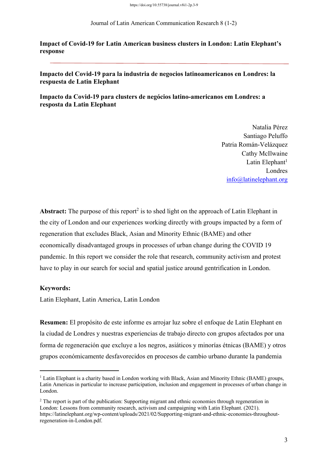Journal of Latin American Communication Research 8 (1-2)

**Impact of Covid-19 for Latin American business clusters in London: Latin Elephant's response**

## **Impacto del Covid-19 para la industria de negocios latinoamericanos en Londres: la respuesta de Latin Elephant**

**Impacto da Covid-19 para clusters de negócios latino-americanos em Londres: a resposta da Latin Elephant**

> Natalia Pérez Santiago Peluffo Patria Román-Velázquez Cathy McIlwaine Latin Elephant<sup>1</sup> Londres info@latinelephant.org

**Abstract:** The purpose of this report<sup>2</sup> is to shed light on the approach of Latin Elephant in the city of London and our experiences working directly with groups impacted by a form of regeneration that excludes Black, Asian and Minority Ethnic (BAME) and other economically disadvantaged groups in processes of urban change during the COVID 19 pandemic. In this report we consider the role that research, community activism and protest have to play in our search for social and spatial justice around gentrification in London.

## **Keywords:**

Latin Elephant, Latin America, Latin London

**Resumen:** El propósito de este informe es arrojar luz sobre el enfoque de Latin Elephant en la ciudad de Londres y nuestras experiencias de trabajo directo con grupos afectados por una forma de regeneración que excluye a los negros, asiáticos y minorías étnicas (BAME) y otros grupos económicamente desfavorecidos en procesos de cambio urbano durante la pandemia

<sup>&</sup>lt;sup>1</sup> Latin Elephant is a charity based in London working with Black, Asian and Minority Ethnic (BAME) groups, Latin Americas in particular to increase participation, inclusion and engagement in processes of urban change in London.

<sup>&</sup>lt;sup>2</sup> The report is part of the publication: Supporting migrant and ethnic economies through regeneration in London: Lessons from community research, activism and campaigning with Latin Elephant. (2021). https://latinelephant.org/wp-content/uploads/2021/02/Supporting-migrant-and-ethnic-economies-throughoutregeneration-in-London.pdf.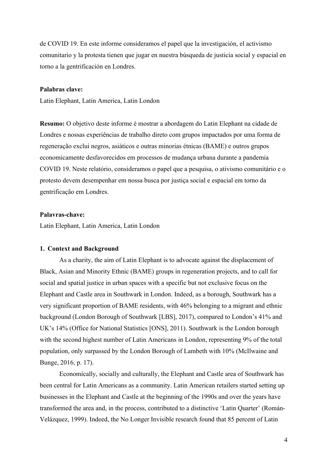de COVID 19. En este informe consideramos el papel que la investigación, el activismo comunitario y la protesta tienen que jugar en nuestra búsqueda de justicia social y espacial en torno a la gentrificación en Londres.

#### **Palabras clave:**

Latin Elephant, Latin America, Latin London

**Resumo:** O objetivo deste informe é mostrar a abordagem do Latin Elephant na cidade de Londres e nossas experiências de trabalho direto com grupos impactados por uma forma de regeneração exclui negros, asiáticos e outras minorias étnicas (BAME) e outros grupos economicamente desfavorecidos em processos de mudança urbana durante a pandemia COVID 19. Neste relatório, consideramos o papel que a pesquisa, o ativismo comunitário e o protesto devem desempenhar em nossa busca por justiça social e espacial em torno da gentrificação em Londres.

## **Palavras-chave:**

Latin Elephant, Latin America, Latin London

#### **1. Context and Background**

As a charity, the aim of Latin Elephant is to advocate against the displacement of Black, Asian and Minority Ethnic (BAME) groups in regeneration projects, and to call for social and spatial justice in urban spaces with a specific but not exclusive focus on the Elephant and Castle area in Southwark in London. Indeed, as a borough, Southwark has a very significant proportion of BAME residents, with 46% belonging to a migrant and ethnic background (London Borough of Southwark [LBS], 2017), compared to London's 41% and UK's 14% (Office for National Statistics [ONS], 2011). Southwark is the London borough with the second highest number of Latin Americans in London, representing 9% of the total population, only surpassed by the London Borough of Lambeth with 10% (McIlwaine and Bunge, 2016, p. 17).

Economically, socially and culturally, the Elephant and Castle area of Southwark has been central for Latin Americans as a community. Latin American retailers started setting up businesses in the Elephant and Castle at the beginning of the 1990s and over the years have transformed the area and, in the process, contributed to a distinctive 'Latin Quarter' (Román-Velázquez, 1999). Indeed, the No Longer Invisible research found that 85 percent of Latin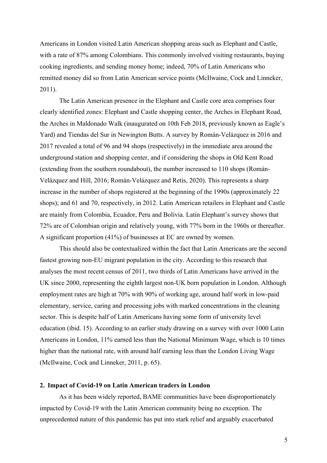Americans in London visited Latin American shopping areas such as Elephant and Castle, with a rate of 87% among Colombians. This commonly involved visiting restaurants, buying cooking ingredients, and sending money home; indeed, 70% of Latin Americans who remitted money did so from Latin American service points (McIlwaine, Cock and Linneker, 2011).

The Latin American presence in the Elephant and Castle core area comprises four clearly identified zones: Elephant and Castle shopping center, the Arches in Elephant Road, the Arches in Maldonado Walk (inaugurated on 10th Feb 2018, previously known as Eagle's Yard) and Tiendas del Sur in Newington Butts. A survey by Román-Velázquez in 2016 and 2017 revealed a total of 96 and 94 shops (respectively) in the immediate area around the underground station and shopping center, and if considering the shops in Old Kent Road (extending from the southern roundabout), the number increased to 110 shops (Román-Velázquez and Hill, 2016; Román-Velázquez and Retis, 2020). This represents a sharp increase in the number of shops registered at the beginning of the 1990s (approximately 22 shops); and 61 and 70, respectively, in 2012. Latin American retailers in Elephant and Castle are mainly from Colombia, Ecuador, Peru and Bolivia. Latin Elephant's survey shows that 72% are of Colombian origin and relatively young, with 77% born in the 1960s or thereafter. A significant proportion (41%) of businesses at EC are owned by women.

This should also be contextualized within the fact that Latin Americans are the second fastest growing non-EU migrant population in the city. According to this research that analyses the most recent census of 2011, two thirds of Latin Americans have arrived in the UK since 2000, representing the eighth largest non-UK born population in London. Although employment rates are high at 70% with 90% of working age, around half work in low-paid elementary, service, caring and processing jobs with marked concentrations in the cleaning sector. This is despite half of Latin Americans having some form of university level education (ibid. 15). According to an earlier study drawing on a survey with over 1000 Latin Americans in London, 11% earned less than the National Minimum Wage, which is 10 times higher than the national rate, with around half earning less than the London Living Wage (McIlwaine, Cock and Linneker, 2011, p. 65).

#### **2. Impact of Covid-19 on Latin American traders in London**

As it has been widely reported, BAME communities have been disproportionately impacted by Covid-19 with the Latin American community being no exception. The unprecedented nature of this pandemic has put into stark relief and arguably exacerbated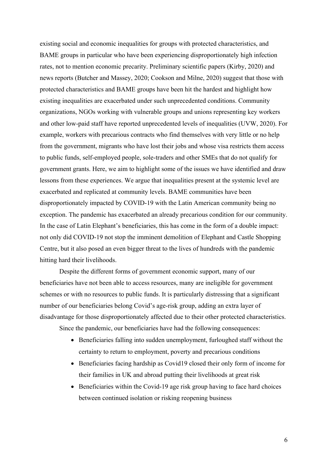existing social and economic inequalities for groups with protected characteristics, and BAME groups in particular who have been experiencing disproportionately high infection rates, not to mention economic precarity. Preliminary scientific papers (Kirby, 2020) and news reports (Butcher and Massey, 2020; Cookson and Milne, 2020) suggest that those with protected characteristics and BAME groups have been hit the hardest and highlight how existing inequalities are exacerbated under such unprecedented conditions. Community organizations, NGOs working with vulnerable groups and unions representing key workers and other low-paid staff have reported unprecedented levels of inequalities (UVW, 2020). For example, workers with precarious contracts who find themselves with very little or no help from the government, migrants who have lost their jobs and whose visa restricts them access to public funds, self-employed people, sole-traders and other SMEs that do not qualify for government grants. Here, we aim to highlight some of the issues we have identified and draw lessons from these experiences. We argue that inequalities present at the systemic level are exacerbated and replicated at community levels. BAME communities have been disproportionately impacted by COVID-19 with the Latin American community being no exception. The pandemic has exacerbated an already precarious condition for our community. In the case of Latin Elephant's beneficiaries, this has come in the form of a double impact: not only did COVID-19 not stop the imminent demolition of Elephant and Castle Shopping Centre, but it also posed an even bigger threat to the lives of hundreds with the pandemic hitting hard their livelihoods.

Despite the different forms of government economic support, many of our beneficiaries have not been able to access resources, many are ineligible for government schemes or with no resources to public funds. It is particularly distressing that a significant number of our beneficiaries belong Covid's age-risk group, adding an extra layer of disadvantage for those disproportionately affected due to their other protected characteristics. Since the pandemic, our beneficiaries have had the following consequences:

• Beneficiaries falling into sudden unemployment, furloughed staff without the

- certainty to return to employment, poverty and precarious conditions
- Beneficiaries facing hardship as Covid19 closed their only form of income for their families in UK and abroad putting their livelihoods at great risk
- Beneficiaries within the Covid-19 age risk group having to face hard choices between continued isolation or risking reopening business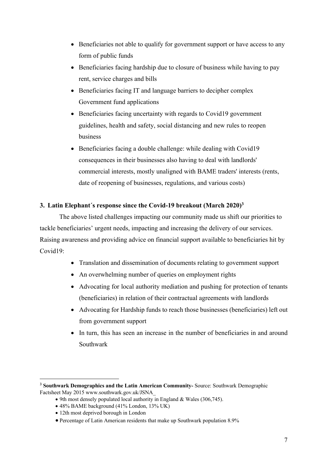- Beneficiaries not able to qualify for government support or have access to any form of public funds
- Beneficiaries facing hardship due to closure of business while having to pay rent, service charges and bills
- Beneficiaries facing IT and language barriers to decipher complex Government fund applications
- Beneficiaries facing uncertainty with regards to Covid19 government guidelines, health and safety, social distancing and new rules to reopen business
- Beneficiaries facing a double challenge: while dealing with Covid19 consequences in their businesses also having to deal with landlords' commercial interests, mostly unaligned with BAME traders' interests (rents, date of reopening of businesses, regulations, and various costs)

# **3. Latin Elephant´s response since the Covid-19 breakout (March 2020)3**

The above listed challenges impacting our community made us shift our priorities to tackle beneficiaries' urgent needs, impacting and increasing the delivery of our services. Raising awareness and providing advice on financial support available to beneficiaries hit by Covid19:

- Translation and dissemination of documents relating to government support
- An overwhelming number of queries on employment rights
- Advocating for local authority mediation and pushing for protection of tenants (beneficiaries) in relation of their contractual agreements with landlords
- Advocating for Hardship funds to reach those businesses (beneficiaries) left out from government support
- In turn, this has seen an increase in the number of beneficiaries in and around Southwark

<sup>3</sup> **Southwark Demographics and the Latin American Community-** Source: Southwark Demographic Factsheet May 2015 www.southwark.gov.uk/JSNA\_

<sup>•</sup> 9th most densely populated local authority in England & Wales (306,745).

<sup>•</sup> 48% BAME background (41% London, 13% UK)

<sup>•</sup> 12th most deprived borough in London

<sup>•</sup> Percentage of Latin American residents that make up Southwark population 8.9%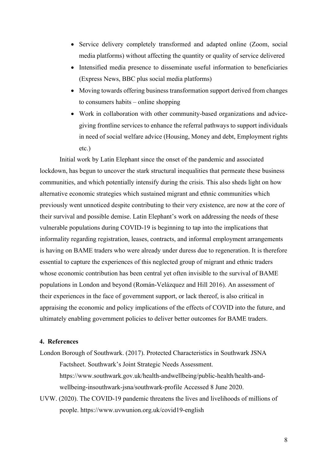- Service delivery completely transformed and adapted online (Zoom, social media platforms) without affecting the quantity or quality of service delivered
- Intensified media presence to disseminate useful information to beneficiaries (Express News, BBC plus social media platforms)
- Moving towards offering business transformation support derived from changes to consumers habits – online shopping
- Work in collaboration with other community-based organizations and advicegiving frontline services to enhance the referral pathways to support individuals in need of social welfare advice (Housing, Money and debt, Employment rights etc.)

Initial work by Latin Elephant since the onset of the pandemic and associated lockdown, has begun to uncover the stark structural inequalities that permeate these business communities, and which potentially intensify during the crisis. This also sheds light on how alternative economic strategies which sustained migrant and ethnic communities which previously went unnoticed despite contributing to their very existence, are now at the core of their survival and possible demise. Latin Elephant's work on addressing the needs of these vulnerable populations during COVID-19 is beginning to tap into the implications that informality regarding registration, leases, contracts, and informal employment arrangements is having on BAME traders who were already under duress due to regeneration. It is therefore essential to capture the experiences of this neglected group of migrant and ethnic traders whose economic contribution has been central yet often invisible to the survival of BAME populations in London and beyond (Román-Velázquez and Hill 2016). An assessment of their experiences in the face of government support, or lack thereof, is also critical in appraising the economic and policy implications of the effects of COVID into the future, and ultimately enabling government policies to deliver better outcomes for BAME traders.

## **4. References**

- London Borough of Southwark. (2017). Protected Characteristics in Southwark JSNA Factsheet. Southwark's Joint Strategic Needs Assessment. https://www.southwark.gov.uk/health-andwellbeing/public-health/health-andwellbeing-insouthwark-jsna/southwark-profile Accessed 8 June 2020.
- UVW. (2020). The COVID-19 pandemic threatens the lives and livelihoods of millions of people. https://www.uvwunion.org.uk/covid19-english